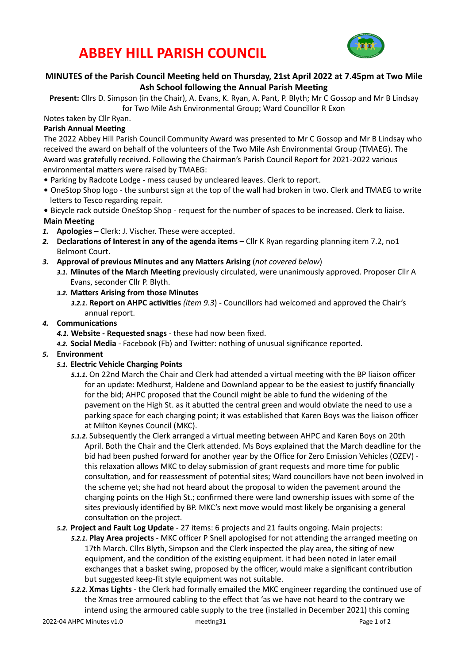## **ABBEY HILL PARISH COUNCIL**



## **MINUTES of the Parish Council Meeting held on Thursday, 21st April 2022 at 7.45pm at Two Mile** Ash School following the Annual Parish Meeting

**Present:** Cllrs D. Simpson (in the Chair), A. Evans, K. Ryan, A. Pant, P. Blyth; Mr C Gossop and Mr B Lindsay for Two Mile Ash Environmental Group; Ward Councillor R Exon

Notes taken by Cllr Ryan.

### **Parish Annual Meeting**

The 2022 Abbey Hill Parish Council Community Award was presented to Mr C Gossop and Mr B Lindsay who received the award on behalf of the volunteers of the Two Mile Ash Environmental Group (TMAEG). The Award was gratefully received. Following the Chairman's Parish Council Report for 2021-2022 various environmental matters were raised by TMAEG:

- Parking by Radcote Lodge mess caused by uncleared leaves. Clerk to report.
- OneStop Shop logo the sunburst sign at the top of the wall had broken in two. Clerk and TMAEG to write letters to Tesco regarding repair.
- Bicycle rack outside OneStop Shop request for the number of spaces to be increased. Clerk to liaise. **Main Meeting**
- 1. **Apologies** Clerk: J. Vischer. These were accepted.
- 2. Declarations of Interest in any of the agenda items Cllr K Ryan regarding planning item 7.2, no1 Belmont Court.
- 3. **Approval of previous Minutes and any Matters Arising** (not covered below)
	- 3.1. Minutes of the March Meeting previously circulated, were unanimously approved. Proposer Cllr A Evans, seconder Cllr P. Blyth.
	- 3.2. Matters Arising from those Minutes
		- 3.2.1. Report on AHPC activities *(item 9.3)* Councillors had welcomed and approved the Chair's annual report.

### 4. **Communications**

- 4.1. Website Requested snags these had now been fixed.
- 4.2. Social Media Facebook (Fb) and Twitter: nothing of unusual significance reported.

#### 5. **Environment**

- 5.1. **Electric Vehicle Charging Points** 
	- 5.1.1. On 22nd March the Chair and Clerk had attended a virtual meeting with the BP liaison officer for an update: Medhurst, Haldene and Downland appear to be the easiest to justify financially for the bid; AHPC proposed that the Council might be able to fund the widening of the pavement on the High St. as it abutted the central green and would obviate the need to use a parking space for each charging point; it was established that Karen Boys was the liaison officer at Milton Keynes Council (MKC).
	- 5.1.2. Subsequently the Clerk arranged a virtual meeting between AHPC and Karen Boys on 20th April. Both the Chair and the Clerk attended. Ms Boys explained that the March deadline for the bid had been pushed forward for another year by the Office for Zero Emission Vehicles (OZEV) this relaxation allows MKC to delay submission of grant requests and more time for public consultation, and for reassessment of potential sites; Ward councillors have not been involved in the scheme yet; she had not heard about the proposal to widen the pavement around the charging points on the High St.; confirmed there were land ownership issues with some of the sites previously identified by BP. MKC's next move would most likely be organising a general consultation on the project.
- 5.2. Project and Fault Log Update 27 items: 6 projects and 21 faults ongoing. Main projects:
	- **5.2.1. Play Area projects** MKC officer P Snell apologised for not attending the arranged meeting on 17th March. Cllrs Blyth, Simpson and the Clerk inspected the play area, the siting of new equipment, and the condition of the existing equipment. it had been noted in later email exchanges that a basket swing, proposed by the officer, would make a significant contribution but suggested keep-fit style equipment was not suitable.
	- 5.2.2. **Xmas Lights** the Clerk had formally emailed the MKC engineer regarding the continued use of the Xmas tree armoured cabling to the effect that 'as we have not heard to the contrary we intend using the armoured cable supply to the tree (installed in December 2021) this coming